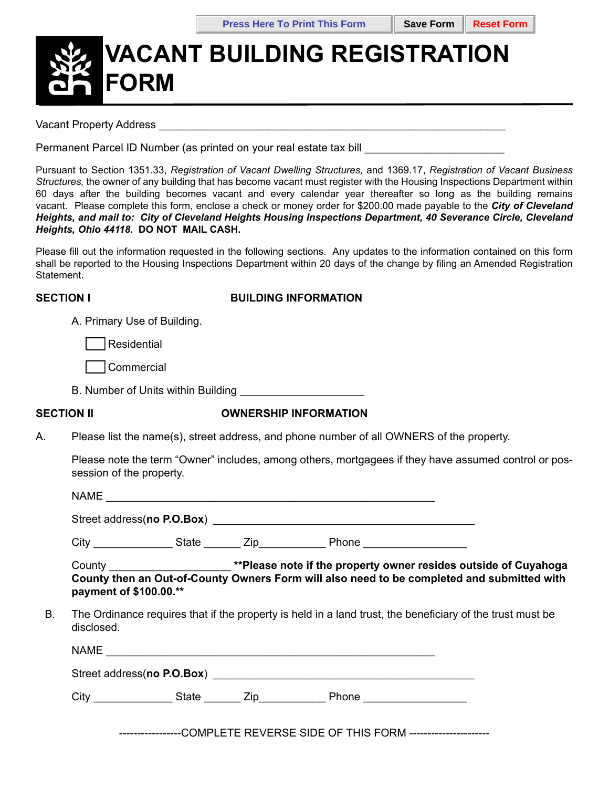# **VACANT BUILDING REGISTRATION FORM**

Vacant Property Address **Example 20** and the Vacant Property Address **Example 20** and the Vacant Property Address **Example 20** and the Vacant Property Address **Example 20** and the Vacant Property Address **Example 20** and t

Permanent Parcel ID Number (as printed on your real estate tax bill

Pursuant to Section 1351.33, *Registration of Vacant Dwelling Structures,* and 1369.17, *Registration of Vacant Business Structures,* the owner of any building that has become vacant must register with the Housing Inspections Department within 60 days after the building becomes vacant and every calendar year thereafter so long as the building remains vacant. Please complete this form, enclose a check or money order for \$200.00 made payable to the *City of Cleveland Heights, and mail to: City of Cleveland Heights Housing Inspections Department, 40 Severance Circle, Cleveland Heights, Ohio 44118.* **DO NOT MAIL CASH.**

Please fill out the information requested in the following sections. Any updates to the information contained on this form shall be reported to the Housing Inspections Department within 20 days of the change by filing an Amended Registration Statement.

### **SECTION I BUILDING INFORMATION**

A. Primary Use of Building.

Residential

\_\_\_ Commercial

B. Number of Units within Building

## **SECTION II OWNERSHIP INFORMATION**

A. Please list the name(s), street address, and phone number of all OWNERS of the property.

Please note the term "Owner" includes, among others, mortgagees if they have assumed control or possession of the property.

NAME \_\_\_\_\_\_\_\_\_\_\_\_\_\_\_\_\_\_\_\_\_\_\_\_\_\_\_\_\_\_\_\_\_\_\_\_\_\_\_\_\_\_\_\_\_\_\_\_\_\_\_\_\_\_

Street address(**no P.O.Box**) *\_\_\_\_\_\_\_\_\_\_\_\_\_\_\_\_\_\_\_\_\_\_\_\_\_\_\_\_\_\_\_\_\_\_\_\_\_\_\_\_\_\_\_*

City \_\_\_\_\_\_\_\_\_\_\_\_\_ State \_\_\_\_\_\_ Zip\_\_\_\_\_\_\_\_\_\_\_ Phone \_\_\_\_\_\_\_\_\_\_\_\_\_\_\_\_\_

County \_\_\_\_\_\_\_\_\_\_\_\_\_\_\_\_\_\_\_\_ **\*\*Please note if the property owner resides outside of Cuyahoga County then an Out-of-County Owners Form will also need to be completed and submitted with payment of \$100.00.\*\***

B. The Ordinance requires that if the property is held in a land trust, the beneficiary of the trust must be disclosed.

| <b>NAME</b> |                            |  |       |  |  |  |  |  |
|-------------|----------------------------|--|-------|--|--|--|--|--|
|             | Street address(no P.O.Box) |  |       |  |  |  |  |  |
| City        | State                      |  | Phone |  |  |  |  |  |

-----------------COMPLETE REVERSE SIDE OF THIS FORM ----------------------